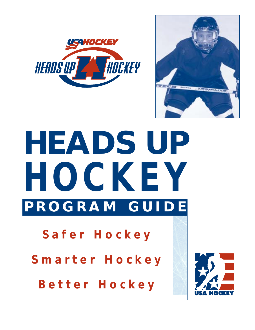



# **HEADS UP HOCKEY PROGRAM GUIDE**

*Safer Hockey*

*Smarter Hockey*

*Better Hockey*

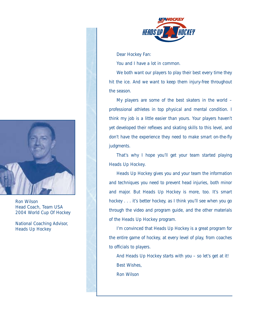

Ron Wilson Head Coach, Team USA 2004 World Cup Of Hockey

National Coaching Advisor, *Heads Up Hockey*



Dear Hockey Fan:

You and I have a lot in common.

We both want our players to play their best every time they hit the ice. And we want to keep them injury-free throughout the season.

My players are some of the best skaters in the world – professional athletes in top physical and mental condition. I think my job is a little easier than yours. Your players haven't yet developed their reflexes and skating skills to this level, and don't have the experience they need to make smart on-the-fly judgments.

That's why I hope you'll get your team started playing *Heads Up Hockey*.

*Heads Up Hockey* gives you and your team the information and techniques you need to prevent head injuries, both minor and major. But *Heads Up Hockey* is more, too. It's smart hockey . . . it's better hockey, as I think you'll see when you go through the video and program guide, and the other materials of the *Heads Up Hockey* program.

I'm convinced that *Heads Up Hockey* is a great program for the entire game of hockey, at every level of play, from coaches to officials to players.

And *Heads Up Hockey* starts with you – so let's get at it! Best Wishes,

Ron Wilson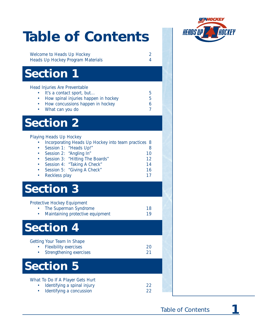### **Table of Contents**

Welcome to *Heads Up Hockey* 2

#### **Section 1 Section 2 Section 3 Section 4 Section 5** *Heads Up Hockey* Program Materials 4 Head Injuries Are Preventable • It's a contact sport, but... 5 • How spinal injuries happen in hockey 5 • How concussions happen in hockey 6 • What can you do 7 Playing *Heads Up Hockey* • Incorporating *Heads Up Hockey* into team practices 8 • Session 1: "Heads Up!" 8 • Session 2: "Angling In" 10 • Session 3: "Hitting The Boards" 12 • Session 4: "Taking A Check" 14 • Session 5: "Giving A Check" 16 • Reckless play 17 Protective Hockey Equipment • The Superman Syndrome **18** • Maintaining protective equipment 19 Getting Your Team In Shape • Flexibility exercises 20 • Strengthening exercises 21 What To Do If A Player Gets Hurt • Identifying a spinal injury 22

• Identifying a concussion 22



Table of Contents **1**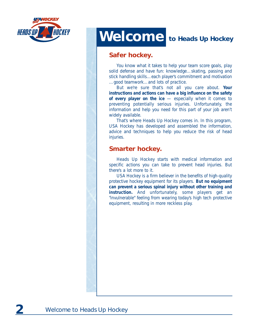

### **Welcome to** *Heads Up Hockey*

#### **Safer hockey.**

You know what it takes to help your team score goals, play solid defense and have fun: knowledge…skating, passing and stick handling skills…each player's commitment and motivation …good teamwork…and lots of practice.

But we're sure that's not all you care about. **Your instructions and actions can have a big influence on the safety of every player on the ice** — especially when it comes to preventing potentially serious injuries. Unfortunately, the information and help you need for this part of your job aren't widely available.

That's where *Heads Up Hockey* comes in. In this program, USA Hockey has developed and assembled the information, advice and techniques to help you reduce the risk of head injuries.

#### **Smarter hockey.**

*Heads Up Hockey* starts with medical information and specific actions you can take to prevent head injuries. But there's a lot more to it.

USA Hockey is a firm believer in the benefits of high-quality protective hockey equipment for its players. **But no equipment can prevent a serious spinal injury without other training and instruction.** And unfortunately, some players get an "invulnerable" feeling from wearing today's high tech protective equipment, resulting in more reckless play.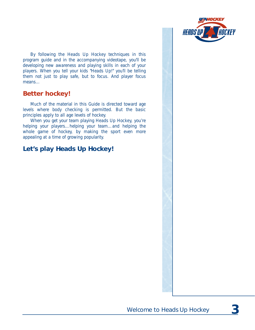

By following the *Heads Up Hockey* techniques in this program guide and in the accompanying videotape, you'll be developing new awareness and playing skills in each of your players. When you tell your kids "Heads Up!" you'll be telling them not just to play safe, but to focus. And player focus means…

#### **Better hockey!**

Much of the material in this Guide is directed toward age levels where body checking is permitted. But the basic principles apply to all age levels of hockey.

When you get your team playing *Heads Up Hockey,* you're helping your players…helping your team…and helping the whole game of hockey, by making the sport even more appealing at a time of growing popularity.

#### **Let's play** *Heads Up Hockey!*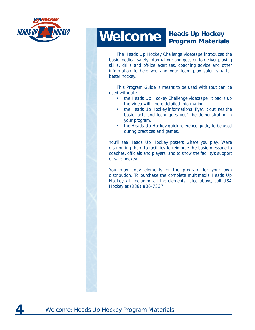

### **Welcome** *Heads Up Hockey*

### **Program Materials**

The *Heads Up Hockey* Challenge videotape introduces the basic medical safety information; and goes on to deliver playing skills, drills and off-ice exercises, coaching advice and other information to help you and your team play safer, smarter, better hockey.

This Program Guide is meant to be used with (but can be used without):

- the *Heads Up Hockey* Challenge videotape. It backs up the video with more detailed information.
- the *Heads Up Hockey* informational flyer. It outlines the basic facts and techniques you'll be demonstrating in your program.
- the *Heads Up Hockey* quick reference guide, to be used during practices and games.

You'll see *Heads Up Hockey* posters where you play. We're distributing them to facilities to reinforce the basic message to coaches, officials and players, and to show the facility's support of safe hockey.

You may copy elements of the program for your own distribution. To purchase the complete multimedia *Heads Up Hockey* kit, including all the elements listed above, call USA Hockey at (888) 806-7337.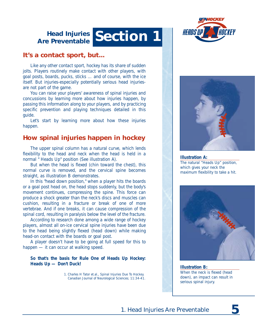### **Section 1 Head Injuries Are Preventable**



#### **It's a contact sport, but...**

Like any other contact sport, hockey has its share of sudden jolts. Players routinely make contact with other players, with goal posts, boards, pucks, sticks … and of course, with the ice itself. But injuries-especially potentially serious head injuriesare not part of the game.

You can raise your players' awareness of spinal injuries and concussions by learning more about how injuries happen, by passing this information along to your players, and by practicing specific prevention and playing techniques detailed in this guide.

Let's start by learning more about how these injuries happen.

#### **How spinal injuries happen in hockey**

The upper spinal column has a natural curve, which lends flexibility to the head and neck when the head is held in a normal " Heads Up" position (See illustration A).

But when the head is flexed (chin toward the chest), this normal curve is removed, and the cervical spine becomes straight, as illustration B demonstrates.

In this "head down position," when a player hits the boards or a goal post head on, the head stops suddenly, but the body's movement continues, compressing the spine. This force can produce a shock greater than the neck's discs and muscles can cushion, resulting in a fracture or break of one of more vertebrae. And if one breaks, it can cause compression of the spinal cord, resulting in paralysis below the level of the fracture.

According to research done among a wide range of hockey players, almost all on-ice cervical spine injuries have been due to the head being slightly flexed (head down) while making head-on contact with the boards or goal post.

A player doesn't have to be going at full speed for this to happen — it can occur at walking speed.

#### **So that's the basis for Rule One of** *Heads Up Hockey:* **Heads Up — Don't Duck!**

1. Charles H Tator et.al., *Spinal Injuries Due To Hockey.* Canadian Journal of Neurological Sciences; 11:34-41.



**Illustration A:** The natural "Heads Up" position, which gives your neck the maximum flexibility to take a hit.



**Illustration B:** When the neck is flexed (head down), an impact can result in serious spinal injury.

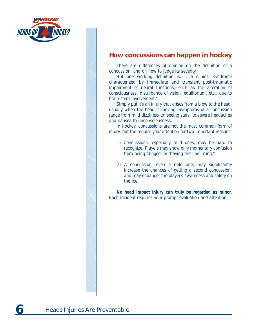

#### **How concussions can happen in hockey**

There are differences of opinion on the definition of a concussion, and on how to judge its severity.

But one working definition is: "…a clinical syndrome characterized by immediate and transient post-traumatic impairment of neural functions, such as the alteration of consciousness, disturbance of vision, equilibrium, etc., due to brain stem involvement."

Simply put it's an injury that arises from a blow to the head, usually when the head is moving. Symptoms of a concussion range from mild dizziness to "seeing stars" to severe headaches and nausea to unconsciousness.

In hockey, concussions are not the most common form of injury, but the require your attention for two important reasons:

- 1) Concussions, especially mild ones, may be hard to recognize. Players may show only momentary confusion from being "dinged" or "having their bell rung."
- 2) A concussion, even a mild one, may significantly increase the chances of getting a second concussion, and may endanger the player's awareness and safety on the ice.

**No head impact injury can truly be regarded as minor.** Each incident requires your prompt evaluation and attention.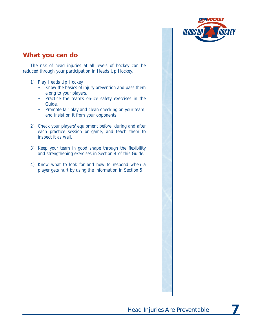

#### **What you can do**

The risk of head injuries at all levels of hockey can be reduced through your participation in Heads Up Hockey.

- 1) Play Heads Up Hockey
	- Know the basics of injury prevention and pass them along to your players.
	- Practice the team's on-ice safety exercises in the Guide.
	- Promote fair play and clean checking on your team, and insist on it from your opponents.
- 2) Check your players' equipment before, during and after each practice session or game, and teach them to inspect it as well.
- 3) Keep your team in good shape through the flexibility and strengthening exercises in Section 4 of this Guide.
- 4) Know what to look for and how to respond when a player gets hurt by using the information in Section 5.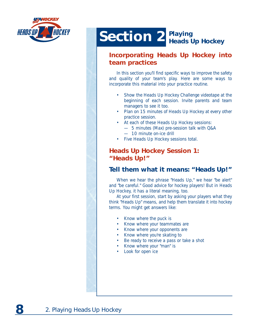

### **Section 2 Playing** *Heads Up Hockey*

#### **Incorporating** *Heads Up Hockey* **into team practices**

In this section you'll find specific ways to improve the safety and quality of your team's play. Here are some ways to incorporate this material into your practice routine.

- Show the *Heads Up Hockey* Challenge videotape at the beginning of each session. Invite parents and team managers to see it too.
- Plan on 15 minutes of *Heads Up Hockey* at every other practice session.
- At each of these *Heads Up Hockey* sessions:
	- 5 minutes (Max) pre-session talk with Q&A — 10 minute on-ice drill
	-
- Five *Heads Up Hockey* sessions total.

#### *Heads Up Hockey* **Session 1: "Heads Up!"**

#### **Tell them what it means: "Heads Up!"**

When we hear the phrase "Heads Up," we hear "be alert" and "be careful." Good advice for hockey players! But in *Heads Up Hockey,* it has a literal meaning, too.

At your first session, start by asking your players what they think "Heads Up" means, and help them translate it into hockey terms. You might get answers like:

- Know where the puck is
- Know where your teammates are
- Know where your opponents are
- Know where you're skating to
- Be ready to receive a pass or take a shot
- Know where your "man" is
- Look for open ice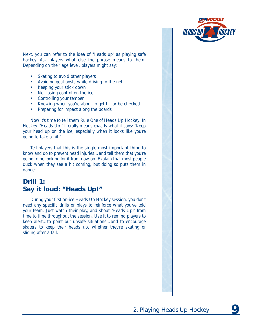

Next, you can refer to the idea of "Heads up" as playing safe hockey. Ask players what else the phrase means to them. Depending on their age level, players might say:

- Skating to avoid other players
- Avoiding goal posts while driving to the net
- Keeping your stick down
- Not losing control on the ice
- Controlling your temper
- Knowing when you're about to get hit or be checked
- Preparing for impact along the boards

Now it's time to tell them Rule One of *Heads Up Hockey*: In Hockey, "Heads Up!" literally means exactly what it says: "Keep your head up on the ice, especially when it looks like you're going to take a hit."

Tell players that this is the *single most important thing* to know and do to prevent head injuries…and tell them that you're going to be looking for it from now on. Explain that most people duck when they see a hit coming, but doing so puts them in danger.

#### **Drill 1: Say it loud: "Heads Up!"**

During your first on-ice *Heads Up Hockey* session, you don't need any specific drills or plays to reinforce what you've told your team. Just watch their play, and shout "Heads Up!" from time to time throughout the session. Use it to remind players to keep alert…to point out unsafe situations…and to encourage skaters to keep their heads up, whether they're skating or sliding after a fall.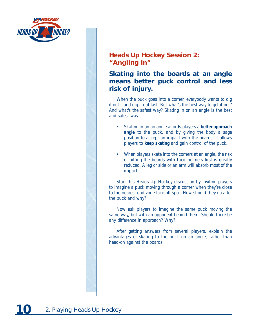

#### *Heads Up Hockey* **Session 2: "Angling In"**

#### **Skating into the boards at an angle means better puck control and less risk of injury.**

When the puck goes into a corner, everybody wants to dig it out…and dig it out fast. But what's the best way to get it out? And what's the safest way? Skating in *on an angle* is the best and safest way.

- Skating in on an angle affords players a **better approach angle** to the puck, and by giving the body a sage position to accept an impact with the boards, it allows players to **keep skating** and gain control of the puck.
- When players skate into the corners at an angle, the risk of hitting the boards with their helmets first is greatly reduced. A leg or side or an arm will absorb most of the impact.

Start this *Heads Up Hockey* discussion by inviting players to imagine a puck moving through a corner when they're close to the nearest end zone face-off spot. How should they go after the puck and why?

Now ask players to imagine the same puck moving the same way, but with an opponent behind them. Should there be any difference in approach? Why?

After getting answers from several players, explain the advantages of skating to the puck on an angle, rather than head-on against the boards.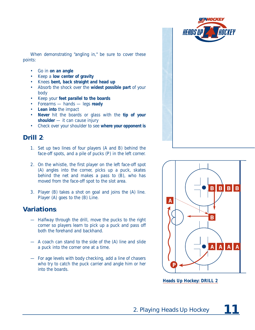

When demonstrating "angling in," be sure to cover these points:

- Go in **on an angle**
- Keep a **low center of gravity**
- Knees **bent, back straight and head up**
- Absorb the shock over the **widest possible part** of your body
- Keep your **feet parallel to the boards**
- Forearms hands legs **ready**
- **Lean into** the impact
- **Never** hit the boards or glass with the **tip of your shoulder** — it can cause injury
- Check over your shoulder to see **where your opponent is**

#### **Drill 2**:

- 1. Set up two lines of four players (A and B) behind the face-off spots, and a pile of pucks (P) in the left corner.
- 2. On the whistle, the first player on the left face-off spot (A) angles into the corner, picks up a puck, skates behind the net and makes a pass to (B), who has moved from the face-off spot to the slot area.
- 3. Player (B) takes a shot on goal and joins the (A) line. Player (A) goes to the (B) Line.

#### **Variations**:

- Halfway through the drill, move the pucks to the right corner so players learn to pick up a puck and pass off both the forehand and backhand.
- A coach can stand to the side of the (A) line and slide a puck into the corner one at a time.
- For age levels with body checking, add a line of chasers who try to catch the puck carrier and angle him or her into the boards.



*Heads Up Hockey:* **DRILL 2**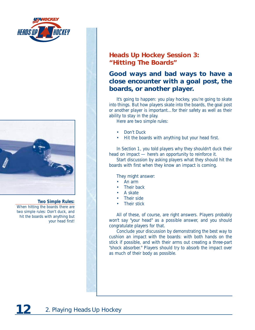



**Two Simple Rules:** When hitting the boards there are two simple rules: Don't duck, and hit the boards with anything but your head first!

#### *Heads Up Hockey* **Session 3: "Hitting The Boards"**

#### **Good ways and bad ways to have a close encounter with a goal post, the boards, or another player.**

It's going to happen: you play hockey, you're going to skate into things. But how players skate into the boards, the goal post or another player is important…for their safety as well as their ability to stay in the play.

Here are two simple rules:

- Don't Duck
- Hit the boards with *anything* but your head first.

In Section 1, you told players why they shouldn't duck their head on impact — here's an opportunity to reinforce it.

Start discussion by asking players what they should hit the boards with first when they know an impact is coming.

They might answer:

- An arm
- Their back
- A skate
- Their side
- Their stick

All of these, of course, are right answers. Players probably won't say "your head" as a possible answer, and you should congratulate players for that.

Conclude your discussion by demonstrating the best way to cushion an impact with the boards: with both hands on the stick if possible, and with their arms out creating a three-part "shock absorber." Players should try to absorb the impact over as much of their body as possible.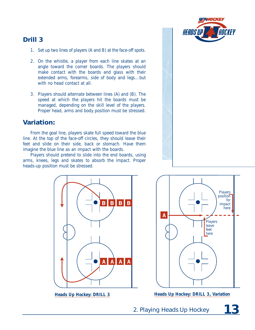#### **Drill 3**

- USAHOOKEN **HEADS UP**
- 1. Set up two lines of players (A and B) at the face-off spots.
- 2. On the whistle, a player from each line skates at an angle toward the corner boards. The players should make contact with the boards and glass with their extended arms, forearms, side of body and legs…but with no head contact at all.
- 3. Players should alternate between lines (A) and (B). The speed at which the players hit the boards must be managed, depending on the skill level of the players. Proper head, arms and body position must be stressed.

#### **Variation:**

From the goal line, players skate full speed toward the blue line. At the top of the face-off circles, they should leave their feet and slide on their side, back or stomach. Have them imagine the blue line as an impact with the boards.

Players should pretend to slide into the end boards, using arms, knees, legs and skates to absorb the impact. Proper heads-up position must be stressed.





*Heads Up Hockey:* **DRILL 3** *Heads Up Hockey:* **DRILL 3, Variation**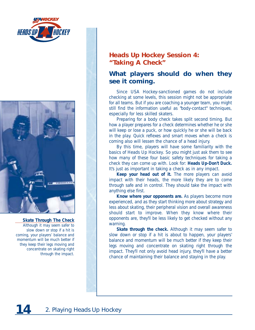



**Skate Through The Check** Although it may seem safer to slow down or stop if a hit is coming, your players' balance and momentum will be much better if they keep their legs moving and concentrate on skating right through the impact.

#### *Heads Up Hockey* **Session 4: "Taking A Check"**

#### **What players should do when they see it coming.**

Since USA Hockey-sanctioned games do not include checking at some levels, this session might not be appropriate for all teams. But if you are coaching a younger team, you might still find the information useful as "body-contact" techniques, especially for less skilled skaters.

Preparing for a body check takes split second timing. But how a player prepares for a check determines whether he or she will keep or lose a puck, or how quickly he or she will be back in the play. Quick reflexes and smart moves when a check is coming also will lessen the chance of a head injury.

By this time, players will have some familiarity with the basics of *Heads Up Hockey*. So you might just ask them to see how many of these four basic safety techniques for taking a check they can come up with. Look for: **Heads Up-Don't Duck.** It's just as important in taking a check as in any impact.

**Keep your head out of it.** The more players can avoid impact with their heads, the more likely they are to come through safe and in control. They should take the impact with anything else first.

**Know where your opponents are.** As players become more experienced, and as they start thinking more about strategy and less about skating, their peripheral vision and overall awareness should start to improve. When they know where their opponents are, they'll be less likely to get checked without any warning.

**Skate through the check.** Although it may seem safer to slow down or stop if a hit is about to happen, your players' balance and momentum will be much better if they keep their legs moving and concentrate on skating right through the impact. They'll not only avoid head injury, they'll have a better chance of maintaining their balance and staying in the play.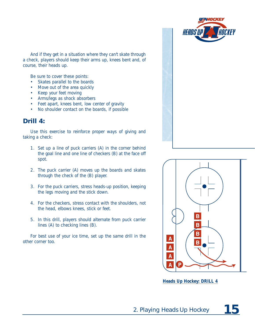And if they get in a situation where they can't skate through a check, players should keep their arms up, knees bent and, of course, their heads up.

Be sure to cover these points:

- Skates parallel to the boards
- Move out of the area quickly
- Keep your feet moving
- Arms/legs as shock absorbers
- Feet apart, knees bent, low center of gravity
- No shoulder contact on the boards, if possible

#### **Drill 4:**

Use this exercise to reinforce proper ways of giving and taking a check:

- 1. Set up a line of puck carriers (A) in the corner behind the goal line and one line of checkers (B) at the face off spot.
- 2. The puck carrier (A) moves up the boards and skates through the check of the (B) player.
- 3. For the puck carriers, stress heads-up position, keeping the legs moving and the stick down.
- 4. For the checkers, stress contact with the shoulders, not the head, elbows knees, stick or feet.
- 5. In this drill, players should alternate from puck carrier lines (A) to checking lines (B).

For best use of your ice time, set up the same drill in the other corner too.





*Heads Up Hockey:* **DRILL 4**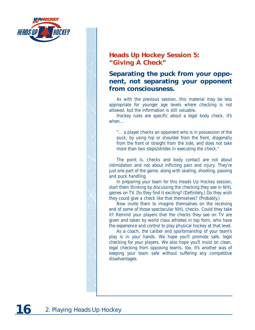

#### *Heads Up Hockey* **Session 5: "Giving A Check"**

#### **Separating the puck from your opponent, not separating your opponent from consciousness.**

As with the previous session, this material may be less appropriate for younger age levels where checking is not allowed, but the information is still valuable.

Hockey rules are specific about a legal body check. It's when…

"... a player checks an opponent who is in possession of the puck, by using hip or shoulder from the front, diagonally from the front or straight from the side, and does not take more than two steps/strides in executing the check."

The point is, checks and body contact are not about intimidation and not about inflicting pain and injury. They're just one part of the game, along with skating, shooting, passing and puck handling.

In preparing your team for this *Heads Up Hockey* session, start them thinking by discussing the checking they see in NHL games on TV. Do they find it exciting? (Definitely.) Do they wish they could give a check like that themselves? (Probably.)

Now invite them to imagine themselves on the receiving end of some of those spectacular NHL checks. Could they take it? Remind your players that the checks they see on TV are given and taken by world class athletes in top form, who have the experience and control to play physical hockey at that level.

As a coach, the caliber and sportsmanship of your team's play is in your hands. We hope you'll promote safe, legal checking for your players. We also hope you'll insist on clean, legal checking from opposing teams, too. It's another was of keeping your team safe without suffering any competitive disadvantages.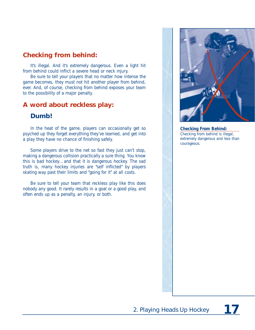#### **Checking from behind:**

It's illegal. And it's extremely dangerous. Even a light hit from behind could inflict a severe head or neck injury.

Be sure to tell your players that no matter how intense the game becomes, they must not hit another player from behind, ever. And, of course, checking from behind exposes your team to the possibility of a major penalty.

#### **A word about reckless play:**

#### **Dumb!**

In the heat of the game, players can occasionally get so psyched up they forget everything they've learned, and get into a play they have no chance of finishing safely.

Some players drive to the net so fast they just can't stop, making a dangerous collision practically a sure thing. You know this is bad hockey…and that it is dangerous hockey. The sad truth is, many hockey injuries are "self inflicted" by players skating way past their limits and "going for it" at all costs.

Be sure to tell your team that reckless play like this does nobody any good. It rarely results in a goal or a good play, and often ends up as a penalty, an injury, or both.



**Checking From Behind:** Checking from behind is illegal, extremely dangerous and less than courageous.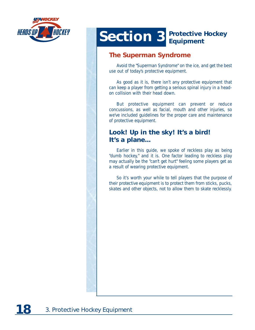

### **Section 3 Protective Hockey Equipment**

#### **The Superman Syndrome**

Avoid the "Superman Syndrome" on the ice, and get the best use out of today's protective equipment.

As good as it is, there isn't any protective equipment that can keep a player from getting a serious spinal injury in a headon collision with their head down.

But protective equipment can prevent or reduce concussions, as well as facial, mouth and other injuries, so we've included guidelines for the proper care and maintenance of protective equipment.

#### **Look! Up in the sky! It's a bird! It's a plane...**

Earlier in this guide, we spoke of reckless play as being "dumb hockey," and it is. One factor leading to reckless play may actually be the "can't get hurt" feeling some players get as a result of wearing protective equipment.

So it's worth your while to tell players that the purpose of their protective equipment is to protect them from sticks, pucks, skates and other objects, not to allow them to skate recklessly.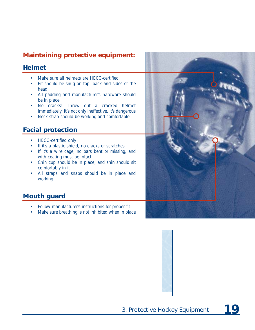#### **Maintaining protective equipment:**

#### **Helmet**

- Make sure all helmets are HECC-certified
- Fit should be snug on top, back and sides of the head
- All padding and manufacturer's hardware should be in place
- No cracks! Throw out a cracked helmet immediately; it's not only ineffective, it's dangerous
- Neck strap should be working and comfortable

#### **Facial protection**

- HECC-certified only
- If it's a plastic shield, no cracks or scratches
- If it's a wire cage, no bars bent or missing, and with coating must be intact
- Chin cup should be in place, and shin should sit comfortably in it
- All straps and snaps should be in place and working

#### **Mouth guard**

- Follow manufacturer's instructions for proper fit
- Make sure breathing is not inhibited when in place



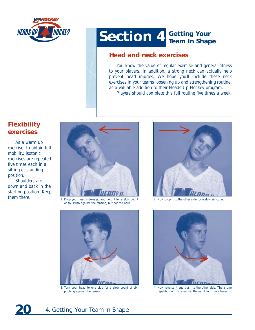

### **Section 4 Getting Your Team In Shape**

#### **Head and neck exercises**

You know the value of regular exercise and general fitness to your players. In addition, a strong neck can actually help prevent head injuries. We hope you'll include these neck exercises in your teams loosening up and strengthening routine, as a valuable addition to their Heads Up Hockey program.

Players should complete this full routine five times a week.

#### **Flexibility exercises**

As a warm up exercise: to obtain full mobility, isotonic exercises are repeated five times each in a sitting or standing position.

Shoulders are down and back in the starting position. Keep them there.



1. Drop your head sideways, and hold it for a slow count of six. Push against the tension, but not too hard.



3. Turn your head to one side for a slow count of six, puching against the tension.



2. Now drop it to the other side for a slow six count.



4. Now reverse it and push to the other side. That's one repetition of this exercise. Repeat it four more times.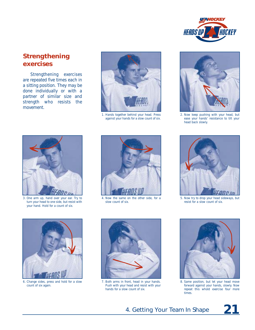

#### **Strengthening exercises**

Strengthening exercises are repeated five times each in a sitting position. They may be done individually or with a partner of similar size and strength who resists the movement.



1. Hands together behind your head. Press against your hands for a slow count of six.



2. Now keep pushing with your head, but ease your hands' resistance to tilt your head back slowly.



3. One arm up, hand over your ear. Try to turn your head to one side, but resist with your hand. Hold for a count of six.



4. Now the same on the other side, for a slow count of six.



5. Now try to drop your head sideways, but resist for a slow count of six.



6. Change sides, press and hold for a slow count of six again.



7. Both arms in front, head in your hands. Push with your head and resist with your hands for a slow count of six.



8. Same position, but let your head move forward against your hands, slowly. Now repeat this whold exercise four more times.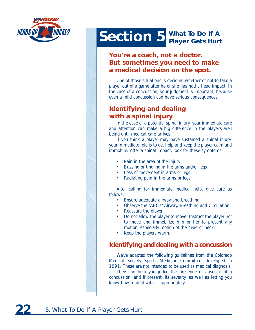

## **Section 5** What To Do If A

#### **You're a coach, not a doctor. But sometimes you need to make a medical decision on the spot.**

One of those situations is deciding whether or not to take a player out of a game after he or she has had a head impact. In the case of a concussion, your judgment is important, because even a mild concussion can have serious consequences.

#### **Identifying and dealing with a spinal injury**

In the case of a potential spinal injury, your immediate care and attention can make a big difference in the player's well being until medical care arrives.

If you think a player may have sustained a spinal injury, your immediate role is to get help and keep the player calm and immobile. After a spinal impact, look for these symptoms.

- Pain in the area of the injury
- Buzzing or tingling in the arms and/or legs
- Loss of movement in arms or legs
- Radiating pain in the arms or legs

After calling for immediate medical help, give care as follows:

- Ensure adequate airway and breathing.
- Observe the "ABC's" Airway, Breathing and Circulation.
- Reassure the player
- Do not allow the player to move. Instruct the player not to move and immobilize him or her to prevent any motion, especially motion of the head or neck.
- Keep the players warm.

#### **Identifying and dealing with a concussion**

We've adapted the following guidelines from the Colorado Medical Society Sports Medicine Committee, developed in 1991. These are not intended to be used as medical diagnosis.

They can help you judge the presence or absence of a concussion, and if present, its severity, as well as letting you know how to deal with it appropriately.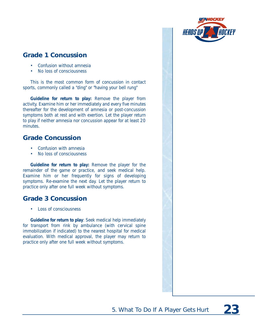

#### **Grade 1 Concussion**

- Confusion without amnesia
- No loss of consciousness

This is the most common form of concussion in contact sports, commonly called a "ding" or "having your bell rung"

**Guideline for return to play:** Remove the player from activity. Examine him or her immediately and every five minutes thereafter for the development of amnesia or post-concussion symptoms both at rest and with exertion. Let the player return to play if neither amnesia nor concussion appear for at least 20 minutes.

#### **Grade Concussion**

- Confusion with amnesia
- No loss of consciousness

**Guideline for return to play:** Remove the player for the remainder of the game or practice, and seek medical help. Examine him or her frequently for signs of developing symptoms. Re-examine the next day. Let the player return to practice only after one full week without symptoms.

#### **Grade 3 Concussion**

• Loss of consciousness

**Guideline for return to play**: Seek medical help immediately for transport from rink by ambulance (with cervical spine immobilization if indicated) to the nearest hospital for medical evaluation. With medical approval, the player may return to practice only after one full week without symptoms.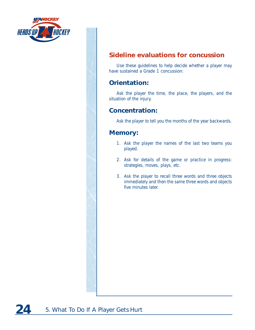

#### **Sideline evaluations for concussion**

Use these guidelines to help decide whether a player may have sustained a Grade 1 concussion:

#### **Orientation:**

Ask the player the time, the place, the players, and the situation of the injury.

#### **Concentration:**

Ask the player to tell you the months of the year backwards.

#### **Memory:**

- 1. Ask the player the names of the last two teams you played.
- 2. Ask for details of the game or practice in progress: strategies, moves, plays, etc.
- 3. Ask the player to recall three words and three objects immediately and then the same three words and objects five minutes later.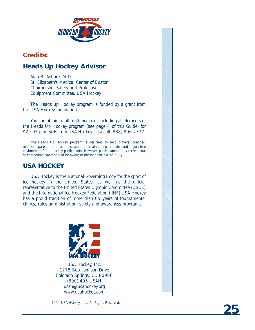

#### **Credits:**

#### *Heads Up Hockey* **Advisor**

Alan B. Ashare, M.D. St. Elizabeth's Medical Center of Boston Chairperson, Safety and Protective Equipment Committee, USA Hockey

The *Heads up Hockey* program is funded by a grant from the USA Hockey foundation.

You can obtain a full multimedia kit including all elements of the *Heads Up Hockey* program (see page 4 of this Guide) for \$29.95 plus S&H from USA Hockey. Just call (888) 806-7337.

The *Heads Up Hockey* program is designed to help players, coaches, referees, parents and administrators in maintaining a safe and injury-free environment for all hockey participants. However, participants in any recreational or competitive sport should be aware of the inherent risk of injury.

#### **USA HOCKEY**

USA Hockey is the National Governing Body for the sport of ice hockey in the United States, as well as the official representative to the United States Olympic Committee (USOC) and the International Ice Hockey Federation (IIHF) USA Hockey has a proud tradition of more than 65 years of tournaments, clinics, rules administration, safety and awareness programs.



USA Hockey, Inc. 1775 Bob Johnson Drive Colorado Springs, CO 80906 (800) 495-USAH usah@usahockey.org www.usahockey.com

2004 USA Hockey, Inc., All Rights Reserved.